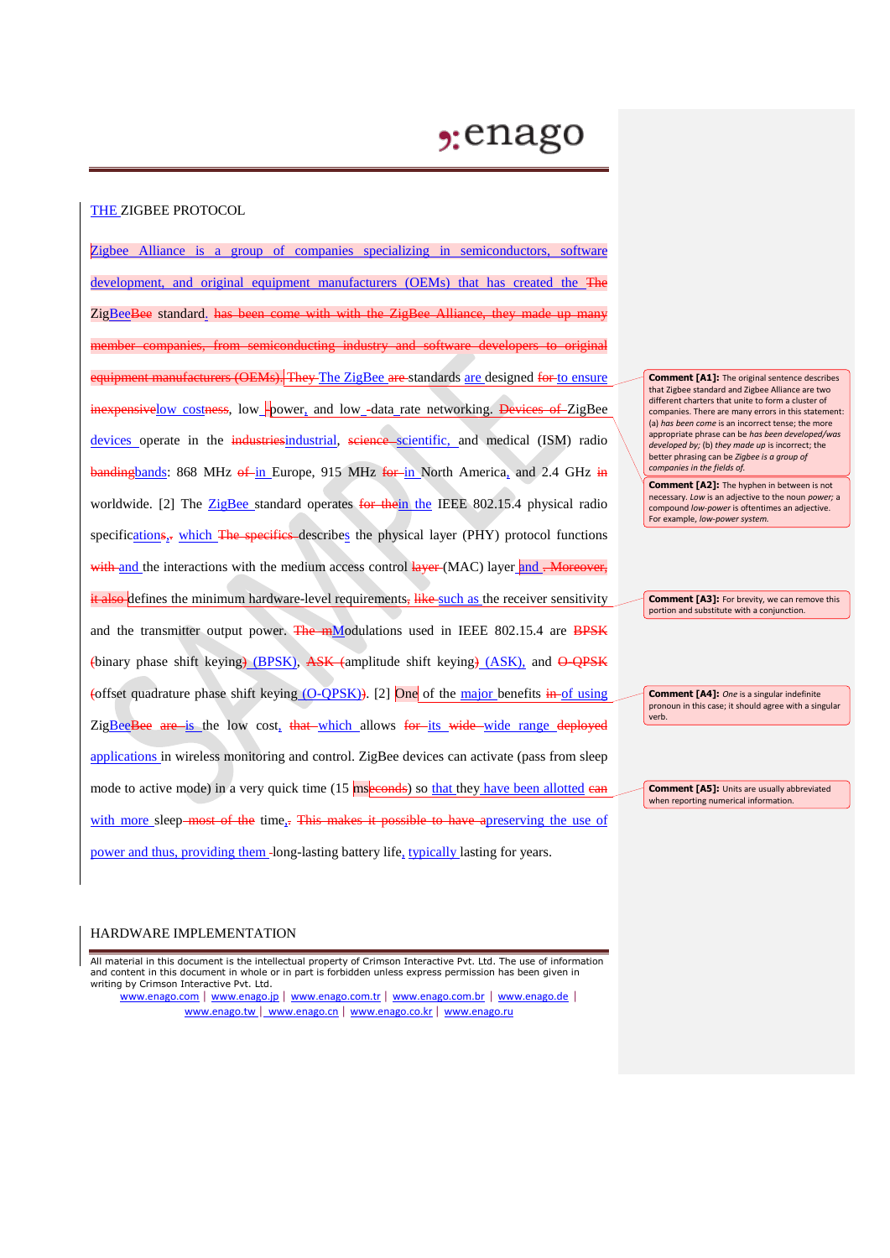## $2:$ enago

## THE ZIGBEE PROTOCOL

Zigbee Alliance is a group of companies specializing in semiconductors, software development, and original equipment manufacturers (OEMs) that has created the The ZigBeeBee standard. has been come with with the ZigBee Alliance, they made up many companies, from semiconducting industry and software developers to original mufacturers (OEMs). They The ZigBee are standards are designed for to ensure inexpensivelow costness, low -power, and low -data rate networking. Devices of ZigBee devices operate in the industriesindustrial, science-scientific, and medical (ISM) radio bandingbands: 868 MHz of in Europe, 915 MHz for in North America, and 2.4 GHz in worldwide. [2] The ZigBee standard operates for thein the IEEE 802.15.4 physical radio specifications.- which The specifies describes the physical layer (PHY) protocol functions with and the interactions with the medium access control layer (MAC) layer and <del>. Moreover,</del> it also defines the minimum hardware-level requirements, like such as the receiver sensitivity and the transmitter output power. The  $mM$ odulations used in IEEE 802.15.4 are BPSK (binary phase shift keying) (BPSK), ASK (amplitude shift keying) (ASK), and O-QPSK (offset quadrature phase shift keying  $(O-QPSK)$ ). [2] One of the major benefits in of using ZigBeeBee are is the low cost, that which allows for its wide wide range deployed applications in wireless monitoring and control. ZigBee devices can activate (pass from sleep mode to active mode) in a very quick time (15 **mseconds)** so that they have been allotted can with more sleep-most of the time<sub> $x$ </sub>. This makes it possible to have apreserving the use of power and thus, providing them long-lasting battery life, typically lasting for years.

## HARDWARE IMPLEMENTATION

All material in this document is the intellectual property of Crimson Interactive Pvt. Ltd. The use of information and content in this document in whole or in part is forbidden unless express permission has been given in writing by Crimson Interactive Pvt. Ltd. www.enago.com | www.enago.jp | www.enago.com.tr | www.enago.com.br | www.enago.de |

www.enago.tw | www.enago.cn | www.enago.co.kr | www.enago.ru

**Comment [A1]:** The original sentence describes that Zigbee standard and Zigbee Alliance are two different charters that unite to form a cluster of companies. There are many errors in this statement: (a) *has been come* is an incorrect tense; the more appropriate phrase can be *has been developed/was developed by;* (b) *they made up* is incorrect; the better phrasing can be *Zigbee is a group of companies in the fields of.*

**Comment [A2]:** The hyphen in between is not necessary. *Low* is an adjective to the noun *power;* a compound *low-power* is oftentimes an adjective. For example, *low-power system.*

**Comment [A3]:** For brevity, we can remove this portion and substitute with a conjunction.

**Comment [A4]:** *One* is a singular indefinite pronoun in this case; it should agree with a singular verb.

**Comment [A5]:** Units are usually abbreviated when reporting numerical information.